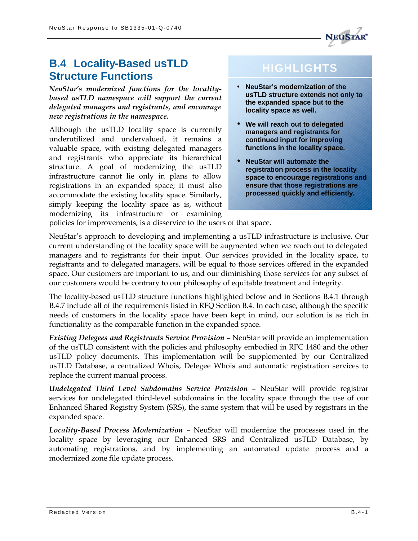

# **B.4 Locality-Based usTLD Structure Functions**

*NeuStar's modernized functions for the localitybased usTLD namespace will support the current delegated managers and registrants, and encourage new registrations in the namespace.*

Although the usTLD locality space is currently underutilized and undervalued, it remains a valuable space, with existing delegated managers and registrants who appreciate its hierarchical structure. A goal of modernizing the usTLD infrastructure cannot lie only in plans to allow registrations in an expanded space; it must also accommodate the existing locality space. Similarly, simply keeping the locality space as is, without modernizing its infrastructure or examining

# **HIGHLIGHTS**

- **NeuStar's modernization of the usTLD structure extends not only to the expanded space but to the locality space as well.**
- **We will reach out to delegated managers and registrants for continued input for improving functions in the locality space.**
- **NeuStar will automate the registration process in the locality space to encourage registrations and ensure that those registrations are processed quickly and efficiently.**

policies for improvements, is a disservice to the users of that space.

NeuStar's approach to developing and implementing a usTLD infrastructure is inclusive. Our current understanding of the locality space will be augmented when we reach out to delegated managers and to registrants for their input. Our services provided in the locality space, to registrants and to delegated managers, will be equal to those services offered in the expanded space. Our customers are important to us, and our diminishing those services for any subset of our customers would be contrary to our philosophy of equitable treatment and integrity.

The locality-based usTLD structure functions highlighted below and in Sections B.4.1 through B.4.7 include all of the requirements listed in RFQ Section B.4. In each case, although the specific needs of customers in the locality space have been kept in mind, our solution is as rich in functionality as the comparable function in the expanded space.

*Existing Delegees and Registrants Service Provision* – NeuStar will provide an implementation of the usTLD consistent with the policies and philosophy embodied in RFC 1480 and the other usTLD policy documents. This implementation will be supplemented by our Centralized usTLD Database, a centralized Whois, Delegee Whois and automatic registration services to replace the current manual process.

*Undelegated Third Level Subdomains Service Provision* – NeuStar will provide registrar services for undelegated third-level subdomains in the locality space through the use of our Enhanced Shared Registry System (SRS), the same system that will be used by registrars in the expanded space.

*Locality-Based Process Modernization* – NeuStar will modernize the processes used in the locality space by leveraging our Enhanced SRS and Centralized usTLD Database, by automating registrations, and by implementing an automated update process and a modernized zone file update process.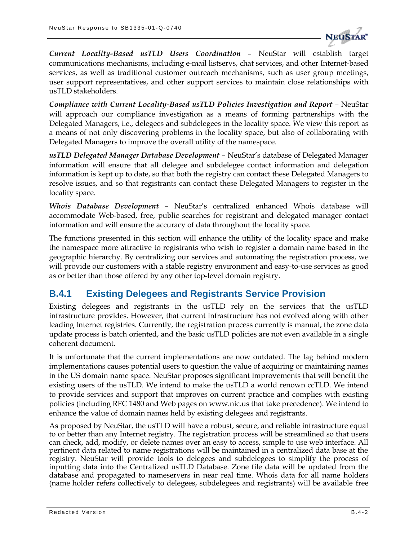

*Current Locality-Based usTLD Users Coordination* – NeuStar will establish target communications mechanisms, including e-mail listservs, chat services, and other Internet-based services, as well as traditional customer outreach mechanisms, such as user group meetings, user support representatives, and other support services to maintain close relationships with usTLD stakeholders.

*Compliance with Current Locality-Based usTLD Policies Investigation and Report* – NeuStar will approach our compliance investigation as a means of forming partnerships with the Delegated Managers, i.e., delegees and subdelegees in the locality space. We view this report as a means of not only discovering problems in the locality space, but also of collaborating with Delegated Managers to improve the overall utility of the namespace.

*usTLD Delegated Manager Database Development* – NeuStar's database of Delegated Manager information will ensure that all delegee and subdelegee contact information and delegation information is kept up to date, so that both the registry can contact these Delegated Managers to resolve issues, and so that registrants can contact these Delegated Managers to register in the locality space.

*Whois Database Development* – NeuStar's centralized enhanced Whois database will accommodate Web-based, free, public searches for registrant and delegated manager contact information and will ensure the accuracy of data throughout the locality space.

The functions presented in this section will enhance the utility of the locality space and make the namespace more attractive to registrants who wish to register a domain name based in the geographic hierarchy. By centralizing our services and automating the registration process, we will provide our customers with a stable registry environment and easy-to-use services as good as or better than those offered by any other top-level domain registry.

# **B.4.1 Existing Delegees and Registrants Service Provision**

Existing delegees and registrants in the usTLD rely on the services that the usTLD infrastructure provides. However, that current infrastructure has not evolved along with other leading Internet registries. Currently, the registration process currently is manual, the zone data update process is batch oriented, and the basic usTLD policies are not even available in a single coherent document.

It is unfortunate that the current implementations are now outdated. The lag behind modern implementations causes potential users to question the value of acquiring or maintaining names in the US domain name space. NeuStar proposes significant improvements that will benefit the existing users of the usTLD. We intend to make the usTLD a world renown ccTLD. We intend to provide services and support that improves on current practice and complies with existing policies (including RFC 1480 and Web pages on www.nic.us that take precedence). We intend to enhance the value of domain names held by existing delegees and registrants.

As proposed by NeuStar, the usTLD will have a robust, secure, and reliable infrastructure equal to or better than any Internet registry. The registration process will be streamlined so that users can check, add, modify, or delete names over an easy to access, simple to use web interface. All pertinent data related to name registrations will be maintained in a centralized data base at the registry. NeuStar will provide tools to delegees and subdelegees to simplify the process of inputting data into the Centralized usTLD Database. Zone file data will be updated from the database and propagated to nameservers in near real time. Whois data for all name holders (name holder refers collectively to delegees, subdelegees and registrants) will be available free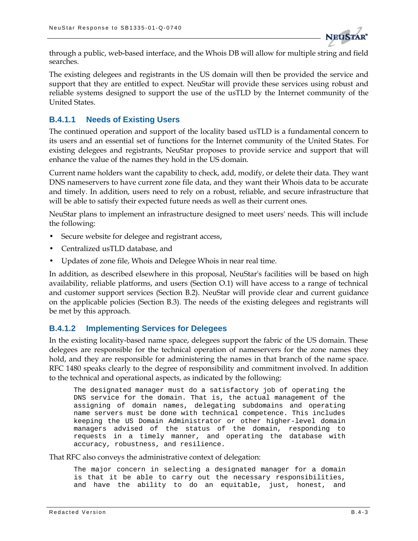

through a public, web-based interface, and the Whois DB will allow for multiple string and field searches.

The existing delegees and registrants in the US domain will then be provided the service and support that they are entitled to expect. NeuStar will provide these services using robust and reliable systems designed to support the use of the usTLD by the Internet community of the United States.

### **B.4.1.1 Needs of Existing Users**

The continued operation and support of the locality based usTLD is a fundamental concern to its users and an essential set of functions for the Internet community of the United States. For existing delegees and registrants, NeuStar proposes to provide service and support that will enhance the value of the names they hold in the US domain.

Current name holders want the capability to check, add, modify, or delete their data. They want DNS nameservers to have current zone file data, and they want their Whois data to be accurate and timely. In addition, users need to rely on a robust, reliable, and secure infrastructure that will be able to satisfy their expected future needs as well as their current ones.

NeuStar plans to implement an infrastructure designed to meet users' needs. This will include the following:

- Secure website for delegee and registrant access,
- Centralized usTLD database, and
- Updates of zone file, Whois and Delegee Whois in near real time.

In addition, as described elsewhere in this proposal, NeuStar's facilities will be based on high availability, reliable platforms, and users (Section O.1) will have access to a range of technical and customer support services (Section B.2). NeuStar will provide clear and current guidance on the applicable policies (Section B.3). The needs of the existing delegees and registrants will be met by this approach.

#### **B.4.1.2 Implementing Services for Delegees**

In the existing locality-based name space, delegees support the fabric of the US domain. These delegees are responsible for the technical operation of nameservers for the zone names they hold, and they are responsible for administering the names in that branch of the name space. RFC 1480 speaks clearly to the degree of responsibility and commitment involved. In addition to the technical and operational aspects, as indicated by the following:

The designated manager must do a satisfactory job of operating the DNS service for the domain. That is, the actual management of the assigning of domain names, delegating subdomains and operating name servers must be done with technical competence. This includes keeping the US Domain Administrator or other higher-level domain managers advised of the status of the domain, responding to requests in a timely manner, and operating the database with accuracy, robustness, and resilience.

That RFC also conveys the administrative context of delegation:

The major concern in selecting a designated manager for a domain is that it be able to carry out the necessary responsibilities, and have the ability to do an equitable, just, honest, and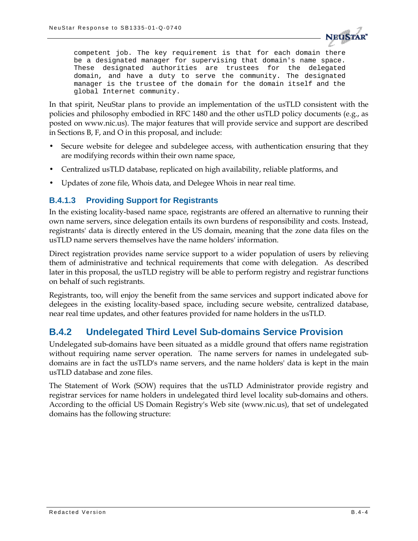

competent job. The key requirement is that for each domain there be a designated manager for supervising that domain's name space. These designated authorities are trustees for the delegated domain, and have a duty to serve the community. The designated manager is the trustee of the domain for the domain itself and the global Internet community.

In that spirit, NeuStar plans to provide an implementation of the usTLD consistent with the policies and philosophy embodied in RFC 1480 and the other usTLD policy documents (e.g., as posted on www.nic.us). The major features that will provide service and support are described in Sections B, F, and O in this proposal, and include:

- Secure website for delegee and subdelegee access, with authentication ensuring that they are modifying records within their own name space,
- Centralized usTLD database, replicated on high availability, reliable platforms, and
- Updates of zone file, Whois data, and Delegee Whois in near real time.

#### **B.4.1.3 Providing Support for Registrants**

In the existing locality-based name space, registrants are offered an alternative to running their own name servers, since delegation entails its own burdens of responsibility and costs. Instead, registrants' data is directly entered in the US domain, meaning that the zone data files on the usTLD name servers themselves have the name holders' information.

Direct registration provides name service support to a wider population of users by relieving them of administrative and technical requirements that come with delegation. As described later in this proposal, the usTLD registry will be able to perform registry and registrar functions on behalf of such registrants.

Registrants, too, will enjoy the benefit from the same services and support indicated above for delegees in the existing locality-based space, including secure website, centralized database, near real time updates, and other features provided for name holders in the usTLD.

# **B.4.2 Undelegated Third Level Sub-domains Service Provision**

Undelegated sub-domains have been situated as a middle ground that offers name registration without requiring name server operation. The name servers for names in undelegated subdomains are in fact the usTLD's name servers, and the name holders' data is kept in the main usTLD database and zone files.

The Statement of Work (SOW) requires that the usTLD Administrator provide registry and registrar services for name holders in undelegated third level locality sub-domains and others. According to the official US Domain Registry's Web site (www.nic.us), that set of undelegated domains has the following structure: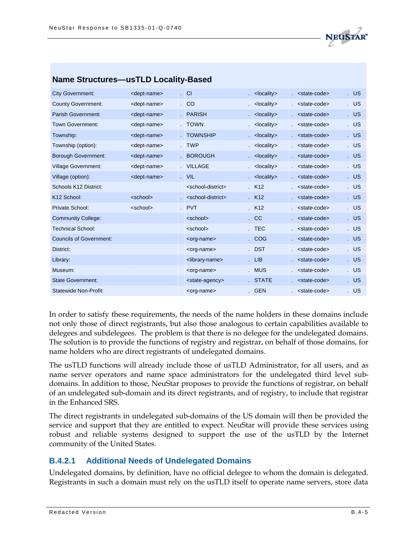

| <b>Name Sulution CS—us TLD Locality-Dased</b> |                         |                                       |                       |                               |        |
|-----------------------------------------------|-------------------------|---------------------------------------|-----------------------|-------------------------------|--------|
| <b>City Government:</b>                       | <dept-name></dept-name> | $\overline{\phantom{a}}$ CI           | <locality></locality> | <state-code></state-code>     | U      |
| <b>County Government:</b>                     | <dept-name></dept-name> | CO                                    | <locality></locality> | $sstate$ code>                | . US   |
| <b>Parish Government:</b>                     | <dept-name></dept-name> | . PARISH                              | <locality></locality> | $. <$ state-code>             | . US   |
| <b>Town Government:</b>                       | <dept-name></dept-name> | . TOWN                                | <locality></locality> | $sstate$ code>                | . US   |
| Township:                                     | <dept-name></dept-name> | . TOWNSHIP                            | <locality></locality> | $. <$ state-code>             | . US   |
| Township (option):                            | <dept-name></dept-name> | . TWP                                 | <locality></locality> | $s$ <state-code></state-code> | . US   |
| <b>Borough Government:</b>                    | <dept-name></dept-name> | . BOROUGH                             | <locality></locality> | $s$ <state-code></state-code> | . US   |
| <b>Village Government:</b>                    | <dept-name></dept-name> | . VILLAGE                             | <locality></locality> | $s$ <state-code></state-code> | U      |
| Village (option):                             | <dept-name></dept-name> | . VIL                                 | <locality></locality> | $s$ <state-code></state-code> | . US   |
| Schools K12 District:                         |                         | <school-district></school-district>   | . K12                 | <state-code></state-code>     | . US   |
| K <sub>12</sub> School:                       | <school></school>       | . <school-district></school-district> | K12                   | $s$ <state-code></state-code> | U      |
| Private School:                               | <school></school>       | . PVT                                 | K12                   | $. <$ state-code>             | . US   |
| <b>Community College:</b>                     |                         | <school></school>                     | CC                    | $s$ <state-code></state-code> | U      |
| <b>Technical School:</b>                      |                         | <school></school>                     | . TEC                 | <state-code></state-code>     | . US   |
| <b>Councils of Government:</b>                |                         | <org-name></org-name>                 | . COG                 | <state-code></state-code>     | U      |
| District:                                     |                         | <org-name></org-name>                 | . DST                 | <state-code></state-code>     | . US   |
| Library:                                      |                         | <library-name></library-name>         | LIB                   | <state-code></state-code>     | $.$ US |
| Museum:                                       |                         | <org-name></org-name>                 | . MUS                 | <state-code></state-code>     | . US   |
| <b>State Government:</b>                      |                         | <state-agency></state-agency>         | . STATE               | <state-code></state-code>     | . US   |
| <b>Statewide Non-Profit:</b>                  |                         | <org-name></org-name>                 | . GEN                 | <state-code></state-code>     | . US   |
|                                               |                         |                                       |                       |                               |        |

#### **Name Structures—usTLD Locality-Based**

In order to satisfy these requirements, the needs of the name holders in these domains include not only those of direct registrants, but also those analogous to certain capabilities available to delegees and subdelegees. The problem is that there is no delegee for the undelegated domains. The solution is to provide the functions of registry and registrar, on behalf of those domains, for name holders who are direct registrants of undelegated domains.

The usTLD functions will already include those of usTLD Administrator, for all users, and as name server operators and name space administrators for the undelegated third level subdomains. In addition to those, NeuStar proposes to provide the functions of registrar, on behalf of an undelegated sub-domain and its direct registrants, and of registry, to include that registrar in the Enhanced SRS.

The direct registrants in undelegated sub-domains of the US domain will then be provided the service and support that they are entitled to expect. NeuStar will provide these services using robust and reliable systems designed to support the use of the usTLD by the Internet community of the United States.

#### **B.4.2.1 Additional Needs of Undelegated Domains**

Undelegated domains, by definition, have no official delegee to whom the domain is delegated. Registrants in such a domain must rely on the usTLD itself to operate name servers, store data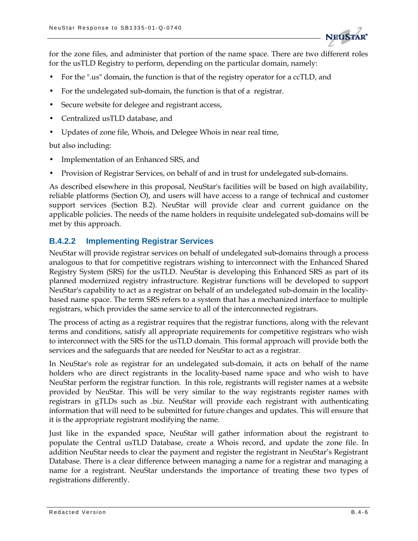

for the zone files, and administer that portion of the name space. There are two different roles for the usTLD Registry to perform, depending on the particular domain, namely:

- For the ".us" domain, the function is that of the registry operator for a ccTLD, and
- For the undelegated sub-domain, the function is that of a registrar.
- Secure website for delegee and registrant access,
- Centralized usTLD database, and
- Updates of zone file, Whois, and Delegee Whois in near real time,

but also including:

- Implementation of an Enhanced SRS, and
- Provision of Registrar Services, on behalf of and in trust for undelegated sub-domains.

As described elsewhere in this proposal, NeuStar's facilities will be based on high availability, reliable platforms (Section O), and users will have access to a range of technical and customer support services (Section B.2). NeuStar will provide clear and current guidance on the applicable policies. The needs of the name holders in requisite undelegated sub-domains will be met by this approach.

#### **B.4.2.2 Implementing Registrar Services**

NeuStar will provide registrar services on behalf of undelegated sub-domains through a process analogous to that for competitive registrars wishing to interconnect with the Enhanced Shared Registry System (SRS) for the usTLD. NeuStar is developing this Enhanced SRS as part of its planned modernized registry infrastructure. Registrar functions will be developed to support NeuStar's capability to act as a registrar on behalf of an undelegated sub-domain in the localitybased name space. The term SRS refers to a system that has a mechanized interface to multiple registrars, which provides the same service to all of the interconnected registrars.

The process of acting as a registrar requires that the registrar functions, along with the relevant terms and conditions, satisfy all appropriate requirements for competitive registrars who wish to interconnect with the SRS for the usTLD domain. This formal approach will provide both the services and the safeguards that are needed for NeuStar to act as a registrar.

In NeuStar's role as registrar for an undelegated sub-domain, it acts on behalf of the name holders who are direct registrants in the locality-based name space and who wish to have NeuStar perform the registrar function. In this role, registrants will register names at a website provided by NeuStar. This will be very similar to the way registrants register names with registrars in gTLDs such as .biz. NeuStar will provide each registrant with authenticating information that will need to be submitted for future changes and updates. This will ensure that it is the appropriate registrant modifying the name.

Just like in the expanded space, NeuStar will gather information about the registrant to populate the Central usTLD Database, create a Whois record, and update the zone file. In addition NeuStar needs to clear the payment and register the registrant in NeuStar's Registrant Database. There is a clear difference between managing a name for a registrar and managing a name for a registrant. NeuStar understands the importance of treating these two types of registrations differently.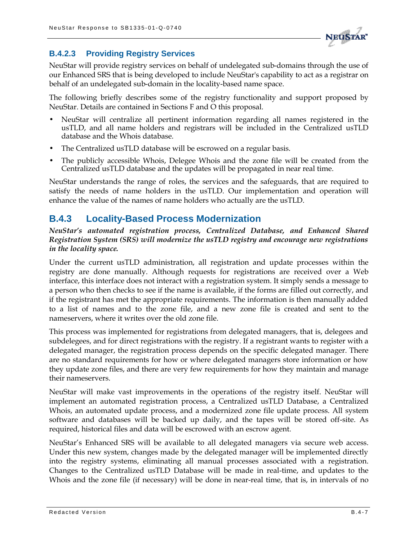

### **B.4.2.3 Providing Registry Services**

NeuStar will provide registry services on behalf of undelegated sub-domains through the use of our Enhanced SRS that is being developed to include NeuStar's capability to act as a registrar on behalf of an undelegated sub-domain in the locality-based name space.

The following briefly describes some of the registry functionality and support proposed by NeuStar. Details are contained in Sections F and O this proposal.

- NeuStar will centralize all pertinent information regarding all names registered in the usTLD, and all name holders and registrars will be included in the Centralized usTLD database and the Whois database.
- The Centralized usTLD database will be escrowed on a regular basis.
- The publicly accessible Whois, Delegee Whois and the zone file will be created from the Centralized usTLD database and the updates will be propagated in near real time.

NeuStar understands the range of roles, the services and the safeguards, that are required to satisfy the needs of name holders in the usTLD. Our implementation and operation will enhance the value of the names of name holders who actually are the usTLD.

# **B.4.3 Locality-Based Process Modernization**

*NeuStar's automated registration process, Centralized Database, and Enhanced Shared Registration System (SRS) will modernize the usTLD registry and encourage new registrations in the locality space.*

Under the current usTLD administration, all registration and update processes within the registry are done manually. Although requests for registrations are received over a Web interface, this interface does not interact with a registration system. It simply sends a message to a person who then checks to see if the name is available, if the forms are filled out correctly, and if the registrant has met the appropriate requirements. The information is then manually added to a list of names and to the zone file, and a new zone file is created and sent to the nameservers, where it writes over the old zone file.

This process was implemented for registrations from delegated managers, that is, delegees and subdelegees, and for direct registrations with the registry. If a registrant wants to register with a delegated manager, the registration process depends on the specific delegated manager. There are no standard requirements for how or where delegated managers store information or how they update zone files, and there are very few requirements for how they maintain and manage their nameservers.

NeuStar will make vast improvements in the operations of the registry itself. NeuStar will implement an automated registration process, a Centralized usTLD Database, a Centralized Whois, an automated update process, and a modernized zone file update process. All system software and databases will be backed up daily, and the tapes will be stored off-site. As required, historical files and data will be escrowed with an escrow agent.

NeuStar's Enhanced SRS will be available to all delegated managers via secure web access. Under this new system, changes made by the delegated manager will be implemented directly into the registry systems, eliminating all manual processes associated with a registration. Changes to the Centralized usTLD Database will be made in real-time, and updates to the Whois and the zone file (if necessary) will be done in near-real time, that is, in intervals of no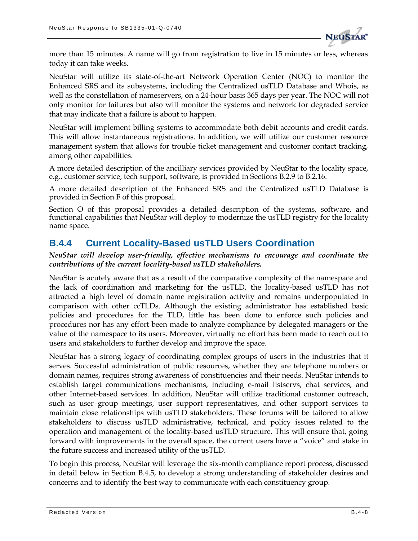

more than 15 minutes. A name will go from registration to live in 15 minutes or less, whereas today it can take weeks.

NeuStar will utilize its state-of-the-art Network Operation Center (NOC) to monitor the Enhanced SRS and its subsystems, including the Centralized usTLD Database and Whois, as well as the constellation of nameservers, on a 24-hour basis 365 days per year. The NOC will not only monitor for failures but also will monitor the systems and network for degraded service that may indicate that a failure is about to happen.

NeuStar will implement billing systems to accommodate both debit accounts and credit cards. This will allow instantaneous registrations. In addition, we will utilize our customer resource management system that allows for trouble ticket management and customer contact tracking, among other capabilities.

A more detailed description of the ancilliary services provided by NeuStar to the locality space, e.g., customer service, tech support, software, is provided in Sections B.2.9 to B.2.16.

A more detailed description of the Enhanced SRS and the Centralized usTLD Database is provided in Section F of this proposal.

Section O of this proposal provides a detailed description of the systems, software, and functional capabilities that NeuStar will deploy to modernize the usTLD registry for the locality name space.

# **B.4.4 Current Locality-Based usTLD Users Coordination**

#### *NeuStar will develop user-friendly, effective mechanisms to encourage and coordinate the contributions of the current locality-based usTLD stakeholders.*

NeuStar is acutely aware that as a result of the comparative complexity of the namespace and the lack of coordination and marketing for the usTLD, the locality-based usTLD has not attracted a high level of domain name registration activity and remains underpopulated in comparison with other ccTLDs. Although the existing administrator has established basic policies and procedures for the TLD, little has been done to enforce such policies and procedures nor has any effort been made to analyze compliance by delegated managers or the value of the namespace to its users. Moreover, virtually no effort has been made to reach out to users and stakeholders to further develop and improve the space.

NeuStar has a strong legacy of coordinating complex groups of users in the industries that it serves. Successful administration of public resources, whether they are telephone numbers or domain names, requires strong awareness of constituencies and their needs. NeuStar intends to establish target communications mechanisms, including e-mail listservs, chat services, and other Internet-based services. In addition, NeuStar will utilize traditional customer outreach, such as user group meetings, user support representatives, and other support services to maintain close relationships with usTLD stakeholders. These forums will be tailored to allow stakeholders to discuss usTLD administrative, technical, and policy issues related to the operation and management of the locality-based usTLD structure. This will ensure that, going forward with improvements in the overall space, the current users have a "voice" and stake in the future success and increased utility of the usTLD.

To begin this process, NeuStar will leverage the six-month compliance report process, discussed in detail below in Section B.4.5, to develop a strong understanding of stakeholder desires and concerns and to identify the best way to communicate with each constituency group.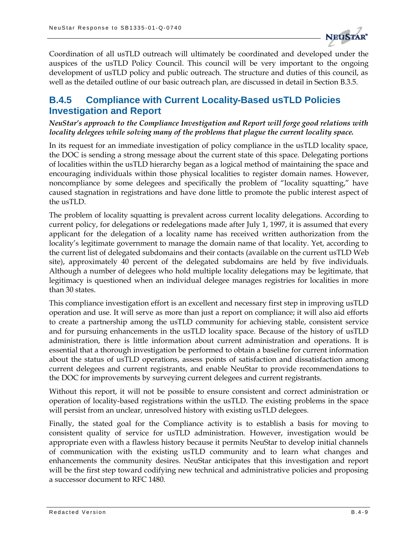

Coordination of all usTLD outreach will ultimately be coordinated and developed under the auspices of the usTLD Policy Council. This council will be very important to the ongoing development of usTLD policy and public outreach. The structure and duties of this council, as well as the detailed outline of our basic outreach plan, are discussed in detail in Section B.3.5.

## **B.4.5 Compliance with Current Locality-Based usTLD Policies Investigation and Report**

*NeuStar's approach to the Compliance Investigation and Report will forge good relations with locality delegees while solving many of the problems that plague the current locality space.*

In its request for an immediate investigation of policy compliance in the usTLD locality space, the DOC is sending a strong message about the current state of this space. Delegating portions of localities within the usTLD hierarchy began as a logical method of maintaining the space and encouraging individuals within those physical localities to register domain names. However, noncompliance by some delegees and specifically the problem of "locality squatting," have caused stagnation in registrations and have done little to promote the public interest aspect of the usTLD.

The problem of locality squatting is prevalent across current locality delegations. According to current policy, for delegations or redelegations made after July 1, 1997, it is assumed that every applicant for the delegation of a locality name has received written authorization from the locality's legitimate government to manage the domain name of that locality. Yet, according to the current list of delegated subdomains and their contacts (available on the current usTLD Web site), approximately 40 percent of the delegated subdomains are held by five individuals. Although a number of delegees who hold multiple locality delegations may be legitimate, that legitimacy is questioned when an individual delegee manages registries for localities in more than 30 states.

This compliance investigation effort is an excellent and necessary first step in improving usTLD operation and use. It will serve as more than just a report on compliance; it will also aid efforts to create a partnership among the usTLD community for achieving stable, consistent service and for pursuing enhancements in the usTLD locality space. Because of the history of usTLD administration, there is little information about current administration and operations. It is essential that a thorough investigation be performed to obtain a baseline for current information about the status of usTLD operations, assess points of satisfaction and dissatisfaction among current delegees and current registrants, and enable NeuStar to provide recommendations to the DOC for improvements by surveying current delegees and current registrants.

Without this report, it will not be possible to ensure consistent and correct administration or operation of locality-based registrations within the usTLD. The existing problems in the space will persist from an unclear, unresolved history with existing usTLD delegees.

Finally, the stated goal for the Compliance activity is to establish a basis for moving to consistent quality of service for usTLD administration. However, investigation would be appropriate even with a flawless history because it permits NeuStar to develop initial channels of communication with the existing usTLD community and to learn what changes and enhancements the community desires. NeuStar anticipates that this investigation and report will be the first step toward codifying new technical and administrative policies and proposing a successor document to RFC 1480.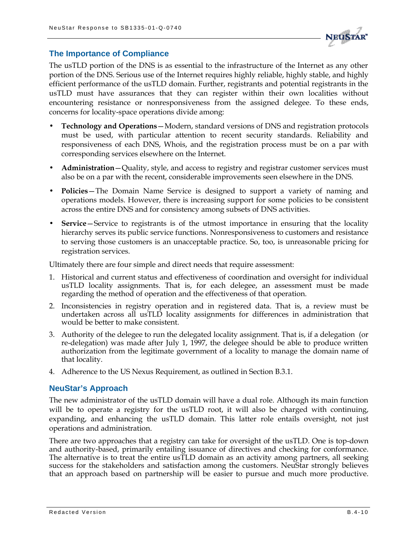

#### **The Importance of Compliance**

The usTLD portion of the DNS is as essential to the infrastructure of the Internet as any other portion of the DNS. Serious use of the Internet requires highly reliable, highly stable, and highly efficient performance of the usTLD domain. Further, registrants and potential registrants in the usTLD must have assurances that they can register within their own localities without encountering resistance or nonresponsiveness from the assigned delegee. To these ends, concerns for locality-space operations divide among:

- **Technology and Operations**—Modern, standard versions of DNS and registration protocols must be used, with particular attention to recent security standards. Reliability and responsiveness of each DNS, Whois, and the registration process must be on a par with corresponding services elsewhere on the Internet.
- **Administration**—Quality, style, and access to registry and registrar customer services must also be on a par with the recent, considerable improvements seen elsewhere in the DNS.
- **Policies**—The Domain Name Service is designed to support a variety of naming and operations models. However, there is increasing support for some policies to be consistent across the entire DNS and for consistency among subsets of DNS activities.
- **Service** Service to registrants is of the utmost importance in ensuring that the locality hierarchy serves its public service functions. Nonresponsiveness to customers and resistance to serving those customers is an unacceptable practice. So, too, is unreasonable pricing for registration services.

Ultimately there are four simple and direct needs that require assessment:

- 1. Historical and current status and effectiveness of coordination and oversight for individual usTLD locality assignments. That is, for each delegee, an assessment must be made regarding the method of operation and the effectiveness of that operation.
- 2. Inconsistencies in registry operation and in registered data. That is, a review must be undertaken across all usTLD locality assignments for differences in administration that would be better to make consistent.
- 3. Authority of the delegee to run the delegated locality assignment. That is, if a delegation (or re-delegation) was made after July 1, 1997, the delegee should be able to produce written authorization from the legitimate government of a locality to manage the domain name of that locality.
- 4. Adherence to the US Nexus Requirement, as outlined in Section B.3.1.

#### **NeuStar's Approach**

The new administrator of the usTLD domain will have a dual role. Although its main function will be to operate a registry for the usTLD root, it will also be charged with continuing, expanding, and enhancing the usTLD domain. This latter role entails oversight, not just operations and administration.

There are two approaches that a registry can take for oversight of the usTLD. One is top-down and authority-based, primarily entailing issuance of directives and checking for conformance. The alternative is to treat the entire usTLD domain as an activity among partners, all seeking success for the stakeholders and satisfaction among the customers. NeuStar strongly believes that an approach based on partnership will be easier to pursue and much more productive.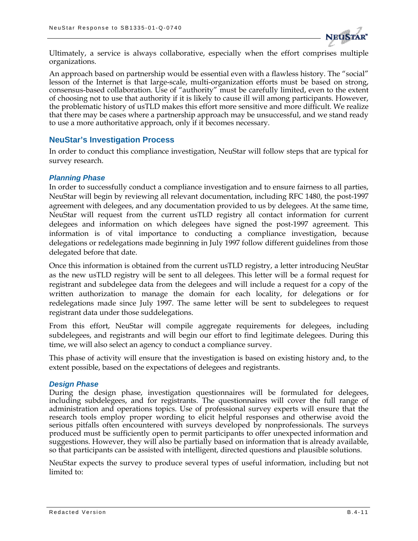

Ultimately, a service is always collaborative, especially when the effort comprises multiple organizations.

An approach based on partnership would be essential even with a flawless history. The "social" lesson of the Internet is that large-scale, multi-organization efforts must be based on strong, consensus-based collaboration. Use of "authority" must be carefully limited, even to the extent of choosing not to use that authority if it is likely to cause ill will among participants. However, the problematic history of usTLD makes this effort more sensitive and more difficult. We realize that there may be cases where a partnership approach may be unsuccessful, and we stand ready to use a more authoritative approach, only if it becomes necessary.

#### **NeuStar's Investigation Process**

In order to conduct this compliance investigation, NeuStar will follow steps that are typical for survey research.

#### *Planning Phase*

In order to successfully conduct a compliance investigation and to ensure fairness to all parties, NeuStar will begin by reviewing all relevant documentation, including RFC 1480, the post-1997 agreement with delegees, and any documentation provided to us by delegees. At the same time, NeuStar will request from the current usTLD registry all contact information for current delegees and information on which delegees have signed the post-1997 agreement. This information is of vital importance to conducting a compliance investigation, because delegations or redelegations made beginning in July 1997 follow different guidelines from those delegated before that date.

Once this information is obtained from the current usTLD registry, a letter introducing NeuStar as the new usTLD registry will be sent to all delegees. This letter will be a formal request for registrant and subdelegee data from the delegees and will include a request for a copy of the written authorization to manage the domain for each locality, for delegations or for redelegations made since July 1997. The same letter will be sent to subdelegees to request registrant data under those suddelegations.

From this effort, NeuStar will compile aggregate requirements for delegees, including subdelegees, and registrants and will begin our effort to find legitimate delegees. During this time, we will also select an agency to conduct a compliance survey.

This phase of activity will ensure that the investigation is based on existing history and, to the extent possible, based on the expectations of delegees and registrants.

#### *Design Phase*

During the design phase, investigation questionnaires will be formulated for delegees, including subdelegees, and for registrants. The questionnaires will cover the full range of administration and operations topics. Use of professional survey experts will ensure that the research tools employ proper wording to elicit helpful responses and otherwise avoid the serious pitfalls often encountered with surveys developed by nonprofessionals. The surveys produced must be sufficiently open to permit participants to offer unexpected information and suggestions. However, they will also be partially based on information that is already available, so that participants can be assisted with intelligent, directed questions and plausible solutions.

NeuStar expects the survey to produce several types of useful information, including but not limited to: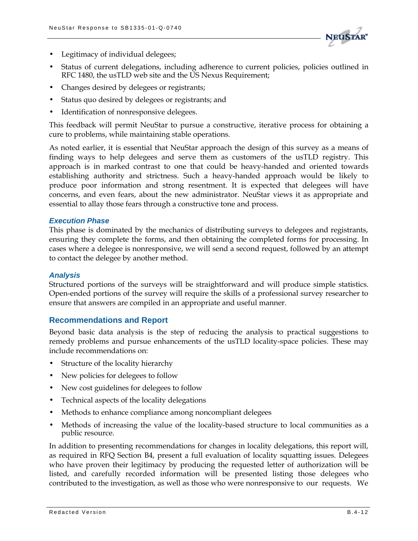

- Legitimacy of individual delegees;
- Status of current delegations, including adherence to current policies, policies outlined in RFC 1480, the usTLD web site and the US Nexus Requirement;
- Changes desired by delegees or registrants;
- Status quo desired by delegees or registrants; and
- Identification of nonresponsive delegees.

This feedback will permit NeuStar to pursue a constructive, iterative process for obtaining a cure to problems, while maintaining stable operations.

As noted earlier, it is essential that NeuStar approach the design of this survey as a means of finding ways to help delegees and serve them as customers of the usTLD registry. This approach is in marked contrast to one that could be heavy-handed and oriented towards establishing authority and strictness. Such a heavy-handed approach would be likely to produce poor information and strong resentment. It is expected that delegees will have concerns, and even fears, about the new administrator. NeuStar views it as appropriate and essential to allay those fears through a constructive tone and process.

#### *Execution Phase*

This phase is dominated by the mechanics of distributing surveys to delegees and registrants, ensuring they complete the forms, and then obtaining the completed forms for processing. In cases where a delegee is nonresponsive, we will send a second request, followed by an attempt to contact the delegee by another method.

#### *Analysis*

Structured portions of the surveys will be straightforward and will produce simple statistics. Open-ended portions of the survey will require the skills of a professional survey researcher to ensure that answers are compiled in an appropriate and useful manner.

#### **Recommendations and Report**

Beyond basic data analysis is the step of reducing the analysis to practical suggestions to remedy problems and pursue enhancements of the usTLD locality-space policies. These may include recommendations on:

- Structure of the locality hierarchy
- New policies for delegees to follow
- New cost guidelines for delegees to follow
- Technical aspects of the locality delegations
- Methods to enhance compliance among noncompliant delegees
- Methods of increasing the value of the locality-based structure to local communities as a public resource.

In addition to presenting recommendations for changes in locality delegations, this report will, as required in RFQ Section B4, present a full evaluation of locality squatting issues. Delegees who have proven their legitimacy by producing the requested letter of authorization will be listed, and carefully recorded information will be presented listing those delegees who contributed to the investigation, as well as those who were nonresponsive to our requests. We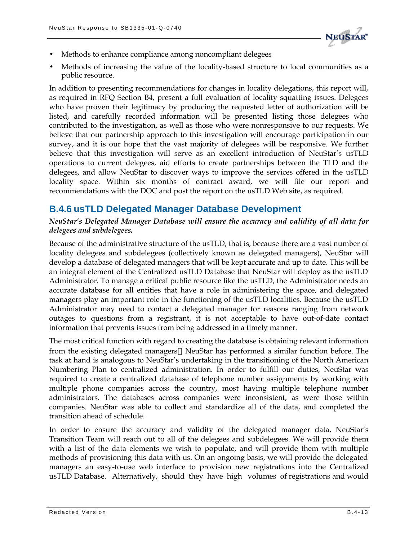

- Methods to enhance compliance among noncompliant delegees
- Methods of increasing the value of the locality-based structure to local communities as a public resource.

In addition to presenting recommendations for changes in locality delegations, this report will, as required in RFQ Section B4, present a full evaluation of locality squatting issues. Delegees who have proven their legitimacy by producing the requested letter of authorization will be listed, and carefully recorded information will be presented listing those delegees who contributed to the investigation, as well as those who were nonresponsive to our requests. We believe that our partnership approach to this investigation will encourage participation in our survey, and it is our hope that the vast majority of delegees will be responsive. We further believe that this investigation will serve as an excellent introduction of NeuStar's usTLD operations to current delegees, aid efforts to create partnerships between the TLD and the delegees, and allow NeuStar to discover ways to improve the services offered in the usTLD locality space. Within six months of contract award, we will file our report and recommendations with the DOC and post the report on the usTLD Web site, as required.

### **B.4.6 usTLD Delegated Manager Database Development**

*NeuStar's Delegated Manager Database will ensure the accuracy and validity of all data for delegees and subdelegees.*

Because of the administrative structure of the usTLD, that is, because there are a vast number of locality delegees and subdelegees (collectively known as delegated managers), NeuStar will develop a database of delegated managers that will be kept accurate and up to date. This will be an integral element of the Centralized usTLD Database that NeuStar will deploy as the usTLD Administrator. To manage a critical public resource like the usTLD, the Administrator needs an accurate database for all entities that have a role in administering the space, and delegated managers play an important role in the functioning of the usTLD localities. Because the usTLD Administrator may need to contact a delegated manager for reasons ranging from network outages to questions from a registrant, it is not acceptable to have out-of-date contact information that prevents issues from being addressed in a timely manner.

The most critical function with regard to creating the database is obtaining relevant information from the existing delegated managers—NeuStar has performed a similar function before. The task at hand is analogous to NeuStar's undertaking in the transitioning of the North American Numbering Plan to centralized administration. In order to fulfill our duties, NeuStar was required to create a centralized database of telephone number assignments by working with multiple phone companies across the country, most having multiple telephone number administrators. The databases across companies were inconsistent, as were those within companies. NeuStar was able to collect and standardize all of the data, and completed the transition ahead of schedule.

In order to ensure the accuracy and validity of the delegated manager data, NeuStar's Transition Team will reach out to all of the delegees and subdelegees. We will provide them with a list of the data elements we wish to populate, and will provide them with multiple methods of provisioning this data with us. On an ongoing basis, we will provide the delegated managers an easy-to-use web interface to provision new registrations into the Centralized usTLD Database. Alternatively, should they have high volumes of registrations and would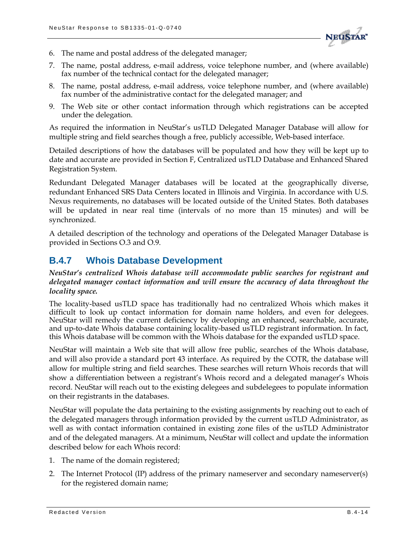

- 6. The name and postal address of the delegated manager;
- 7. The name, postal address, e-mail address, voice telephone number, and (where available) fax number of the technical contact for the delegated manager;
- 8. The name, postal address, e-mail address, voice telephone number, and (where available) fax number of the administrative contact for the delegated manager; and
- 9. The Web site or other contact information through which registrations can be accepted under the delegation.

As required the information in NeuStar's usTLD Delegated Manager Database will allow for multiple string and field searches though a free, publicly accessible, Web-based interface.

Detailed descriptions of how the databases will be populated and how they will be kept up to date and accurate are provided in Section F, Centralized usTLD Database and Enhanced Shared Registration System.

Redundant Delegated Manager databases will be located at the geographically diverse, redundant Enhanced SRS Data Centers located in Illinois and Virginia. In accordance with U.S. Nexus requirements, no databases will be located outside of the United States. Both databases will be updated in near real time (intervals of no more than 15 minutes) and will be synchronized.

A detailed description of the technology and operations of the Delegated Manager Database is provided in Sections O.3 and O.9.

## **B.4.7 Whois Database Development**

*NeuStar's centralized Whois database will accommodate public searches for registrant and delegated manager contact information and will ensure the accuracy of data throughout the locality space.* 

The locality-based usTLD space has traditionally had no centralized Whois which makes it difficult to look up contact information for domain name holders, and even for delegees. NeuStar will remedy the current deficiency by developing an enhanced, searchable, accurate, and up-to-date Whois database containing locality-based usTLD registrant information. In fact, this Whois database will be common with the Whois database for the expanded usTLD space.

NeuStar will maintain a Web site that will allow free public, searches of the Whois database, and will also provide a standard port 43 interface. As required by the COTR, the database will allow for multiple string and field searches. These searches will return Whois records that will show a differentiation between a registrant's Whois record and a delegated manager's Whois record. NeuStar will reach out to the existing delegees and subdelegees to populate information on their registrants in the databases.

NeuStar will populate the data pertaining to the existing assignments by reaching out to each of the delegated managers through information provided by the current usTLD Administrator, as well as with contact information contained in existing zone files of the usTLD Administrator and of the delegated managers. At a minimum, NeuStar will collect and update the information described below for each Whois record:

- 1. The name of the domain registered;
- 2. The Internet Protocol (IP) address of the primary nameserver and secondary nameserver(s) for the registered domain name;